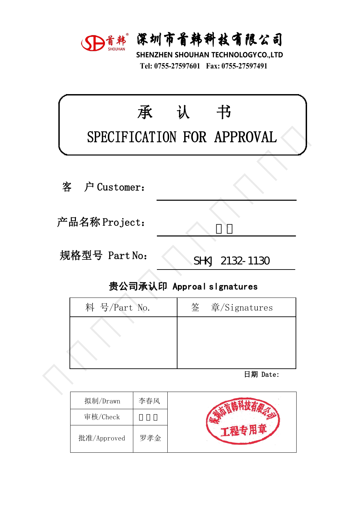

深圳市首韩科技有限公司<br>SHENZHEN SHOUHAN TECHNOLOGYCO.,LTD<br>Tel: 0755-27597601 Fax: 0755-27597491 **宋圳市首韩科技有限公司**<br>HENZHEN SHOUHAN TECHNOLOGYCO.,LTD<br>Tel: 0755-27597601 Fax: 0755-27597491

|   |               | D首韩 深圳市首韩科技有限公司<br>SHENZHEN SHOUHAN TECHNOLOGYCO.,LTD<br>Tel: 0755-27597601 Fax: 0755-27597491 |
|---|---------------|------------------------------------------------------------------------------------------------|
|   | 承             | 认<br>书<br>SPECIFICATION FOR APPROVAL                                                           |
| 客 | 户 Customer:   |                                                                                                |
|   | 产品名称 Project: |                                                                                                |
|   | 规格型号 Part No: | SHKJ 2132-1130                                                                                 |
|   |               | 贵公司承认印 Approal slgnatures                                                                      |
|   | 料 号/Part No.  | 签<br>章/Signatures                                                                              |
|   |               |                                                                                                |
|   |               | 日期 Date:                                                                                       |
|   |               |                                                                                                |

| ‼硲型号 Part No: | SHKJ 2132-1130            |
|---------------|---------------------------|
|               | 贵公司承认印 Approal slgnatures |
| 料 号/Part No.  | 签 章/Signatures            |
|               |                           |
|               |                           |
|               |                           |
|               | 日期 Date:                  |
|               |                           |

| 拟制/Drawn    | 李春风 |  |
|-------------|-----|--|
| 审核/Check    |     |  |
| 批准/Approved | 罗孝金 |  |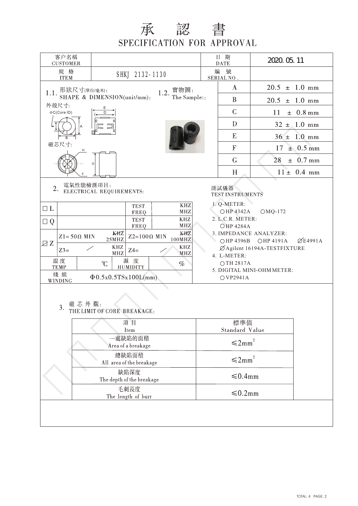## 承 認 書<br>SPECIFICATION FOR APPROVAL

|                                                      | 客户名稱<br><b>CUSTOMER</b>                    |                                                                                                                |     |                           |                                                                         |                                 | 日期<br><b>DATE</b>                           | 2020. 05. 11                |                 |  |  |  |
|------------------------------------------------------|--------------------------------------------|----------------------------------------------------------------------------------------------------------------|-----|---------------------------|-------------------------------------------------------------------------|---------------------------------|---------------------------------------------|-----------------------------|-----------------|--|--|--|
| 規 格<br>SHKJ 2132-1130<br><b>ITEM</b>                 |                                            |                                                                                                                |     |                           |                                                                         | 编<br>號<br>SERIAL NO.            |                                             |                             |                 |  |  |  |
| 形狀尺寸(單位/毫米):<br>實物圖:<br>1.2.<br>1.1.                 |                                            |                                                                                                                |     |                           |                                                                         |                                 | $\mathbf{A}$                                | $20.5 \pm 1.0 \text{ mm}$   |                 |  |  |  |
| SHAPE & DIMENSION(unit/mm):<br>The Sample::<br>外殻尺寸: |                                            |                                                                                                                |     |                           |                                                                         |                                 | B                                           | 20.5<br>$\pm$ 1.0 mm        |                 |  |  |  |
|                                                      | $\Phi C$ (Core ID)                         |                                                                                                                |     |                           |                                                                         | $\mathcal{C}$<br>± 0.8 mm<br>11 |                                             |                             |                 |  |  |  |
|                                                      |                                            |                                                                                                                |     |                           |                                                                         |                                 | D<br>$32 \pm 1.0$ mm                        |                             |                 |  |  |  |
|                                                      |                                            |                                                                                                                |     |                           |                                                                         | E<br>$36 \pm 1.0$ mm            |                                             |                             |                 |  |  |  |
|                                                      | 磁芯尺寸:                                      | н                                                                                                              |     |                           |                                                                         |                                 | F<br>$17 \pm 0.5$ mm                        |                             |                 |  |  |  |
|                                                      |                                            |                                                                                                                |     |                           |                                                                         |                                 | $\overline{G}$                              | 28                          | $± 0.7$ mm      |  |  |  |
|                                                      |                                            |                                                                                                                |     |                           |                                                                         |                                 | H                                           |                             | $11 \pm 0.4$ mm |  |  |  |
| 電氣性能檢測項目:<br>2.<br>ELECTRICAL REQUIREMENTS:          |                                            |                                                                                                                |     |                           |                                                                         |                                 | 測試儀器<br><b>TEST INSTRUMENTS</b>             |                             |                 |  |  |  |
| $\Box$ $L$                                           |                                            |                                                                                                                |     | <b>TEST</b>               | $\ensuremath{\mathbf{K}}\ensuremath{\mathbf{H}}\ensuremath{\mathbf{Z}}$ |                                 | 1. Q-METER:                                 |                             |                 |  |  |  |
| $\Box Q$                                             |                                            |                                                                                                                |     | FREQ<br><b>TEST</b>       | MHZ<br><b>KHZ</b>                                                       |                                 | OHP 4342A<br>$OMQ-172$<br>2. L.C.R. METER:  |                             |                 |  |  |  |
|                                                      |                                            | <b>MHZ</b><br>FREQ<br>KHZ<br>KHZ                                                                               |     |                           |                                                                         |                                 | <b>OHP 4284A</b><br>3. IMPEDANCE ANALYZER:  |                             |                 |  |  |  |
| ZZ                                                   |                                            | $Z2=100\Omega$ MIN<br>$Z1 = 50 \Omega$ MIN<br>25MHz<br>100MHZ<br>$\ensuremath{\mathbf{K}\mathbf{H}\mathbf{Z}}$ |     |                           |                                                                         |                                 | $\varnothing$ E4991A<br>OHP 4396B OHP 4191A |                             |                 |  |  |  |
|                                                      | $Z3=$                                      |                                                                                                                | MHZ | $Z4=$                     | $\ensuremath{\mathbf{K}\mathbf{H}\mathbf{Z}}$<br>MHZ                    |                                 | 4. L-METER:                                 | ØAgilent 16194A-TESTFIXTURE |                 |  |  |  |
|                                                      | 温度<br><b>TEMP</b>                          |                                                                                                                | C   | 濕度<br><b>HUMIDITY</b>     | $\%$                                                                    |                                 | OTH 2817A                                   | 5. DIGITAL MINI-OHM METER:  |                 |  |  |  |
|                                                      | 綫組<br>WINDING                              |                                                                                                                |     | $\Phi$ 0.5x0.5TSx100L(mm) |                                                                         |                                 | OVP2941A                                    |                             |                 |  |  |  |
|                                                      | 磁芯外觀:<br>3.<br>THE LIMIT OF CORE BREAKAGE: |                                                                                                                |     |                           |                                                                         |                                 |                                             |                             |                 |  |  |  |
|                                                      |                                            |                                                                                                                |     | 項目<br>Item                |                                                                         |                                 | 標準值<br>Standard Value                       |                             |                 |  |  |  |
|                                                      | 一處缺陷的面積<br>Area of a breakage              |                                                                                                                |     |                           |                                                                         |                                 | $\leq 2$ mm <sup>2</sup>                    |                             |                 |  |  |  |
| 總缺陷面積<br>All area of the breakage                    |                                            |                                                                                                                |     |                           |                                                                         |                                 | $\leq 2mm^2$                                |                             |                 |  |  |  |
| 缺陷深度<br>The depth of the breakage                    |                                            |                                                                                                                |     |                           | ≤0.4mm                                                                  |                                 |                                             |                             |                 |  |  |  |
| 毛刺長度<br>The length of burr                           |                                            |                                                                                                                |     |                           | $\leq 0.2$ mm                                                           |                                 |                                             |                             |                 |  |  |  |
|                                                      |                                            |                                                                                                                |     |                           |                                                                         |                                 |                                             |                             |                 |  |  |  |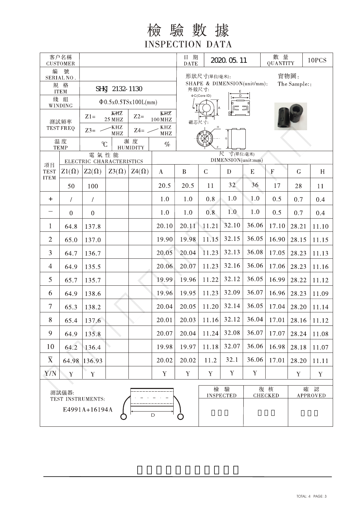檢驗數據 **INSPECTION DATA** 

| 客户名稱<br><b>CUSTOMER</b>             |              |                                        | $\mathbf{DATA}$                                                              | 日期<br>2020. 05. 11    |                                                           |                                     |                      | 數 量<br><b>QUANTITY</b>  | 10PCS                |                                 |              |       |  |
|-------------------------------------|--------------|----------------------------------------|------------------------------------------------------------------------------|-----------------------|-----------------------------------------------------------|-------------------------------------|----------------------|-------------------------|----------------------|---------------------------------|--------------|-------|--|
| 號<br>編<br>SERIAL NO.<br>規 格         |              | SHKJ 2132-1130                         | 實物圖:<br>形狀尺寸(單位/毫米):<br>SHAPE & DIMENSION(unit/mm):<br>The Sample::<br>外殻尺寸: |                       |                                                           |                                     |                      |                         |                      |                                 |              |       |  |
| <b>ITEM</b><br>綫 組                  |              | $\Phi$ 0.5x0.5TSx100L(mm)              | <b>OC(Core ID)</b>                                                           |                       |                                                           |                                     |                      |                         |                      |                                 |              |       |  |
| WINDING<br>測試頻率<br><b>TEST FREQ</b> |              | KHZ<br>$Z1=$<br>$Z2=$<br><b>25 MHZ</b> |                                                                              |                       | KHZ                                                       |                                     |                      |                         |                      |                                 |              |       |  |
|                                     |              | -KHZ<br>$Z3=$<br>$Z4=$<br><b>MHZ</b>   |                                                                              |                       | $100\,\mathrm{MHz}$<br>$\ensuremath{\mathrm{KHZ}}$<br>MHZ |                                     | 磁芯尺寸:                |                         |                      |                                 |              |       |  |
| 温度<br><b>TEMP</b>                   |              | C                                      |                                                                              | 濕度<br><b>HUMIDITY</b> | $\%$                                                      |                                     |                      |                         |                      |                                 |              |       |  |
|                                     |              | 電氣性能<br>ELECTRIC CHARACTERISTICS       |                                                                              |                       |                                                           | 尺<br>寸(單位:毫米)<br>DIMENSION(unit:mm) |                      |                         |                      |                                 |              |       |  |
| 項目<br><b>TEST</b><br><b>ITEM</b>    | $Z1(\Omega)$ | $Z2(\Omega)$                           | $Z3(\Omega)$                                                                 | $Z4(\Omega)$          | $\bf{A}$                                                  | $\, {\bf B}$                        | $\mathcal{C}$        | D                       | E                    | $\boldsymbol{\mathrm{F}}$       | $\mathsf{G}$ | H     |  |
|                                     | 50           | 100                                    |                                                                              |                       | 20.5                                                      | 20.5                                | 11                   | 32                      | 36                   | 17                              | 28           | 11    |  |
| $\ddot{}$                           | $\prime$     | $\sqrt{\phantom{a}}$                   |                                                                              |                       | 1.0                                                       | 1.0                                 | 0.8                  | 1.0                     | 1.0                  | 0.5                             | 0.7          | 0.4   |  |
| —                                   | $\theta$     | $\boldsymbol{0}$                       |                                                                              |                       | 1.0                                                       | 1.0                                 | 0.8                  | 1.0                     | 1.0                  | 0.5                             | 0.7          | 0.4   |  |
| $\mathbf{1}$                        | 64.8         | 137.8                                  |                                                                              |                       | 20.10                                                     | 20.11                               | 11.21                | 32.10                   | 36.06                | 17.10                           | 28.21        | 11.10 |  |
| $\overline{2}$                      | 65.0         | 137.0                                  |                                                                              |                       | 19.90                                                     | 19.98                               | 11.15                | 32.15                   | 36.05                | 16.90                           | 28.15        | 11.15 |  |
| 3                                   | 64.7         | 136.7                                  |                                                                              |                       | 20.05                                                     | 20.04                               | 11.23                | 32.13                   | 36.08                | 17.05                           | 28.23        | 11.13 |  |
| $\overline{4}$                      | 64.9         | 135.5                                  |                                                                              |                       | 20.06                                                     | 20.07                               | 11.23                | 32.16                   | 36.06                | 17.06                           | 28.23        | 11.16 |  |
| 5                                   | 65.7         | 135.7                                  |                                                                              |                       | 19.99                                                     | 19.96                               | 11.22                | 32.12                   | 36.05                | 16.99                           | 28.22        | 11.12 |  |
| 6                                   | 64.9         | 138.6                                  |                                                                              |                       | 19.96                                                     | 19.95                               | 11.23                | 32.09                   | 36.07                | 16.96                           | 28.23        | 11.09 |  |
| $\tau$                              | 65.3         | 138.2                                  |                                                                              |                       | 20.04                                                     | 20.05                               | 11.20                | 32.14                   | 36.05                | 17.04                           | 28.20        | 11.14 |  |
| $8\,$                               | 65.4         | 137.6                                  |                                                                              |                       | 20.01                                                     |                                     |                      | $20.03$   11.16   32.12 |                      | $36.04$   17.01   28.16   11.12 |              |       |  |
| 9                                   | 64.9         | 135.8                                  |                                                                              |                       | 20.07                                                     | 20.04                               | 11.24                | 32.08                   | 36.07                | 17.07                           | 28.24        | 11.08 |  |
| 10                                  | 64.2         | 136.4                                  |                                                                              |                       | 19.98                                                     | 19.97                               | 11.18                | 32.07                   | 36.06                | 16.98                           | 28.18        | 11.07 |  |
| $\overline{X}$                      | 64.98        | 136.93                                 |                                                                              |                       | 20.02                                                     | 20.02                               | 11.2                 | 32.1                    | 36.06                | 17.01                           | 28.20        | 11.11 |  |
| Y/N<br>$\mathbf Y$                  |              | $\mathbf Y$                            |                                                                              |                       | $\mathbf Y$                                               | Y                                   | $\mathbf Y$          | Y                       | $\mathbf Y$          |                                 | $\mathbf Y$  | Y     |  |
| 測試儀器:<br>TEST INSTRUMENTS:          |              |                                        |                                                                              | 檢                     | 驗<br><b>INSPECTED</b>                                     |                                     | 復核<br><b>CHECKED</b> | 確                       | 認<br><b>APPROVED</b> |                                 |              |       |  |
|                                     |              | E4991A+16194A                          |                                                                              |                       | D                                                         | O                                   |                      |                         |                      |                                 |              |       |  |